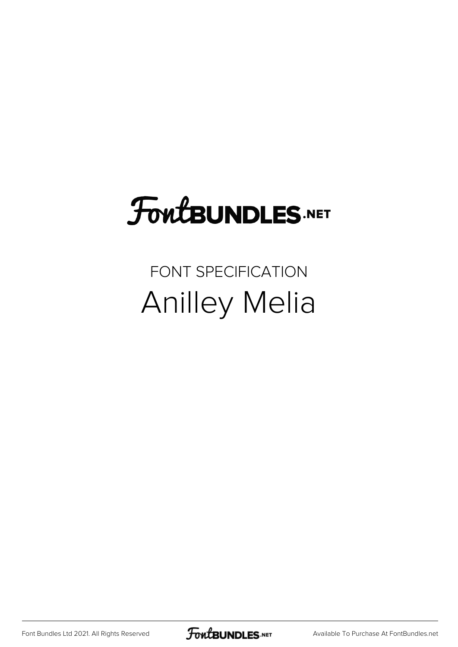## FoutBUNDLES.NET

## FONT SPECIFICATION Anilley Melia

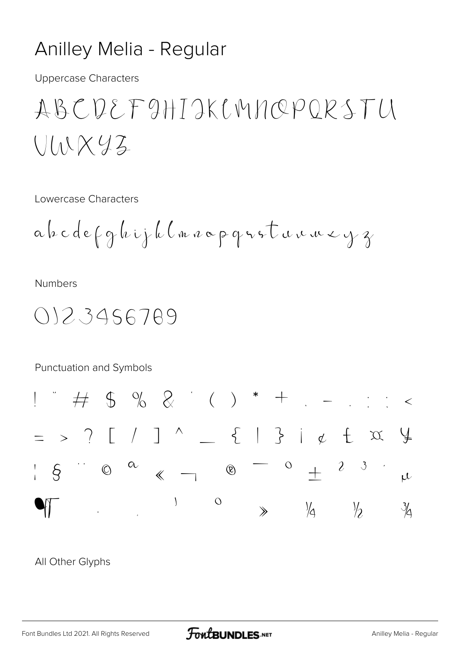## Anilley Melia - Regular

**Uppercase Characters** 

ABCDEFAHTAKLMNOPORSTU  $U(NXyz)$ 

Lowercase Characters

**Numbers** 

0123456789

**Punctuation and Symbols** 



All Other Glyphs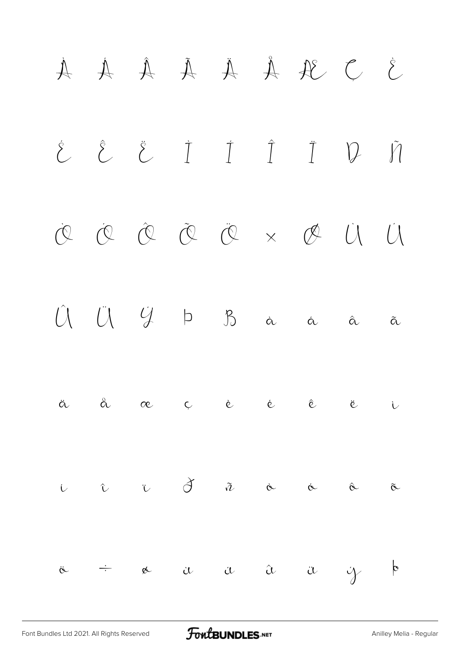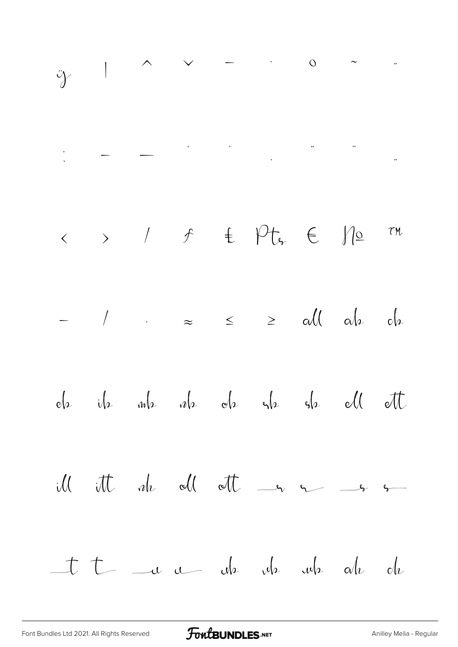